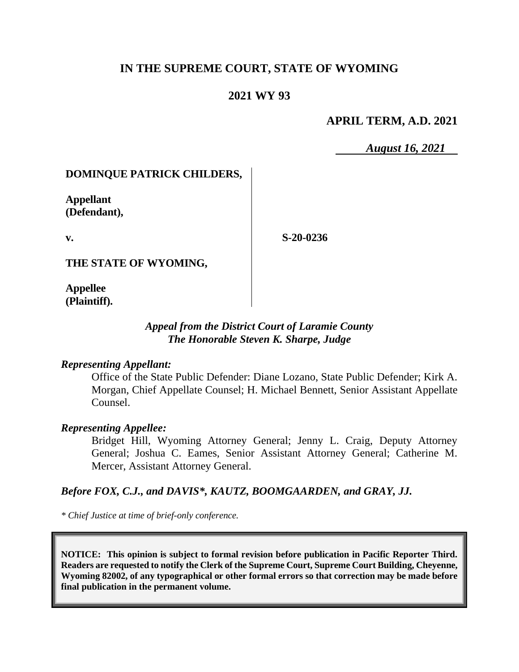# **IN THE SUPREME COURT, STATE OF WYOMING**

## **2021 WY 93**

### **APRIL TERM, A.D. 2021**

*August 16, 2021*

#### **DOMINQUE PATRICK CHILDERS,**

**Appellant (Defendant),**

**v.**

**S-20-0236**

**THE STATE OF WYOMING,**

**Appellee (Plaintiff).**

## *Appeal from the District Court of Laramie County The Honorable Steven K. Sharpe, Judge*

#### *Representing Appellant:*

Office of the State Public Defender: Diane Lozano, State Public Defender; Kirk A. Morgan, Chief Appellate Counsel; H. Michael Bennett, Senior Assistant Appellate Counsel.

#### *Representing Appellee:*

Bridget Hill, Wyoming Attorney General; Jenny L. Craig, Deputy Attorney General; Joshua C. Eames, Senior Assistant Attorney General; Catherine M. Mercer, Assistant Attorney General.

## *Before FOX, C.J., and DAVIS\*, KAUTZ, BOOMGAARDEN, and GRAY, JJ.*

*\* Chief Justice at time of brief-only conference.*

**NOTICE: This opinion is subject to formal revision before publication in Pacific Reporter Third. Readers are requested to notify the Clerk of the Supreme Court, Supreme Court Building, Cheyenne, Wyoming 82002, of any typographical or other formal errors so that correction may be made before final publication in the permanent volume.**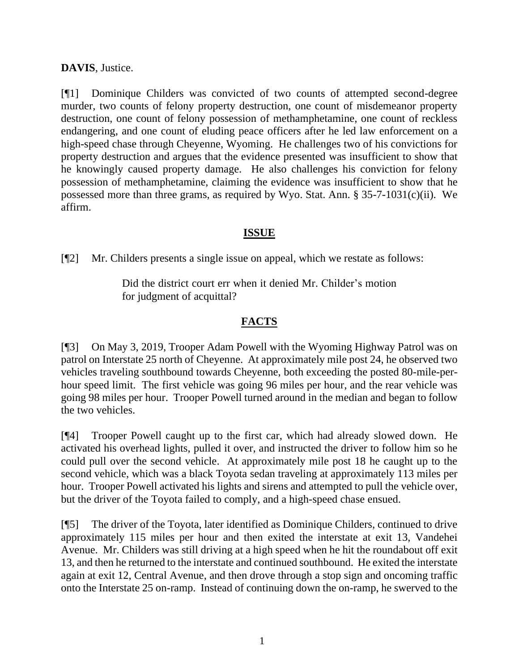## **DAVIS**, Justice.

[¶1] Dominique Childers was convicted of two counts of attempted second-degree murder, two counts of felony property destruction, one count of misdemeanor property destruction, one count of felony possession of methamphetamine, one count of reckless endangering, and one count of eluding peace officers after he led law enforcement on a high-speed chase through Cheyenne, Wyoming. He challenges two of his convictions for property destruction and argues that the evidence presented was insufficient to show that he knowingly caused property damage. He also challenges his conviction for felony possession of methamphetamine, claiming the evidence was insufficient to show that he possessed more than three grams, as required by Wyo. Stat. Ann. § 35-7-1031(c)(ii). We affirm.

# **ISSUE**

[¶2] Mr. Childers presents a single issue on appeal, which we restate as follows:

Did the district court err when it denied Mr. Childer's motion for judgment of acquittal?

# **FACTS**

[¶3] On May 3, 2019, Trooper Adam Powell with the Wyoming Highway Patrol was on patrol on Interstate 25 north of Cheyenne. At approximately mile post 24, he observed two vehicles traveling southbound towards Cheyenne, both exceeding the posted 80-mile-perhour speed limit. The first vehicle was going 96 miles per hour, and the rear vehicle was going 98 miles per hour. Trooper Powell turned around in the median and began to follow the two vehicles.

[¶4] Trooper Powell caught up to the first car, which had already slowed down. He activated his overhead lights, pulled it over, and instructed the driver to follow him so he could pull over the second vehicle. At approximately mile post 18 he caught up to the second vehicle, which was a black Toyota sedan traveling at approximately 113 miles per hour. Trooper Powell activated his lights and sirens and attempted to pull the vehicle over, but the driver of the Toyota failed to comply, and a high-speed chase ensued.

[¶5] The driver of the Toyota, later identified as Dominique Childers, continued to drive approximately 115 miles per hour and then exited the interstate at exit 13, Vandehei Avenue. Mr. Childers was still driving at a high speed when he hit the roundabout off exit 13, and then he returned to the interstate and continued southbound. He exited the interstate again at exit 12, Central Avenue, and then drove through a stop sign and oncoming traffic onto the Interstate 25 on-ramp. Instead of continuing down the on-ramp, he swerved to the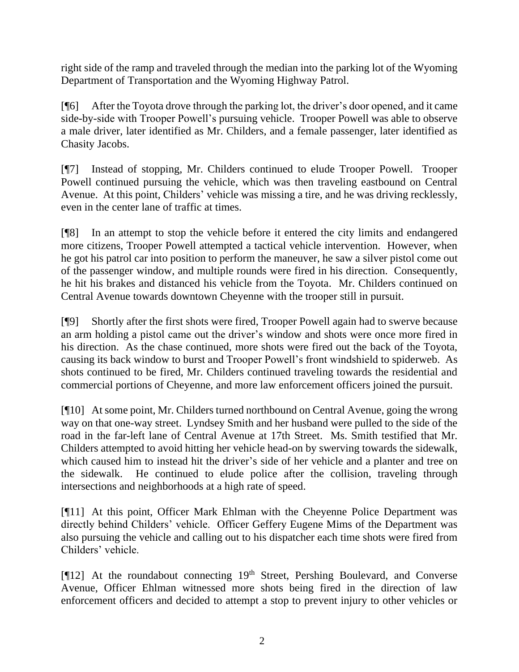right side of the ramp and traveled through the median into the parking lot of the Wyoming Department of Transportation and the Wyoming Highway Patrol.

[¶6] After the Toyota drove through the parking lot, the driver's door opened, and it came side-by-side with Trooper Powell's pursuing vehicle. Trooper Powell was able to observe a male driver, later identified as Mr. Childers, and a female passenger, later identified as Chasity Jacobs.

[¶7] Instead of stopping, Mr. Childers continued to elude Trooper Powell. Trooper Powell continued pursuing the vehicle, which was then traveling eastbound on Central Avenue. At this point, Childers' vehicle was missing a tire, and he was driving recklessly, even in the center lane of traffic at times.

[¶8] In an attempt to stop the vehicle before it entered the city limits and endangered more citizens, Trooper Powell attempted a tactical vehicle intervention. However, when he got his patrol car into position to perform the maneuver, he saw a silver pistol come out of the passenger window, and multiple rounds were fired in his direction. Consequently, he hit his brakes and distanced his vehicle from the Toyota. Mr. Childers continued on Central Avenue towards downtown Cheyenne with the trooper still in pursuit.

[¶9] Shortly after the first shots were fired, Trooper Powell again had to swerve because an arm holding a pistol came out the driver's window and shots were once more fired in his direction. As the chase continued, more shots were fired out the back of the Toyota, causing its back window to burst and Trooper Powell's front windshield to spiderweb. As shots continued to be fired, Mr. Childers continued traveling towards the residential and commercial portions of Cheyenne, and more law enforcement officers joined the pursuit.

[¶10] At some point, Mr. Childers turned northbound on Central Avenue, going the wrong way on that one-way street. Lyndsey Smith and her husband were pulled to the side of the road in the far-left lane of Central Avenue at 17th Street. Ms. Smith testified that Mr. Childers attempted to avoid hitting her vehicle head-on by swerving towards the sidewalk, which caused him to instead hit the driver's side of her vehicle and a planter and tree on the sidewalk. He continued to elude police after the collision, traveling through intersections and neighborhoods at a high rate of speed.

[¶11] At this point, Officer Mark Ehlman with the Cheyenne Police Department was directly behind Childers' vehicle. Officer Geffery Eugene Mims of the Department was also pursuing the vehicle and calling out to his dispatcher each time shots were fired from Childers' vehicle.

[¶12] At the roundabout connecting 19<sup>th</sup> Street, Pershing Boulevard, and Converse Avenue, Officer Ehlman witnessed more shots being fired in the direction of law enforcement officers and decided to attempt a stop to prevent injury to other vehicles or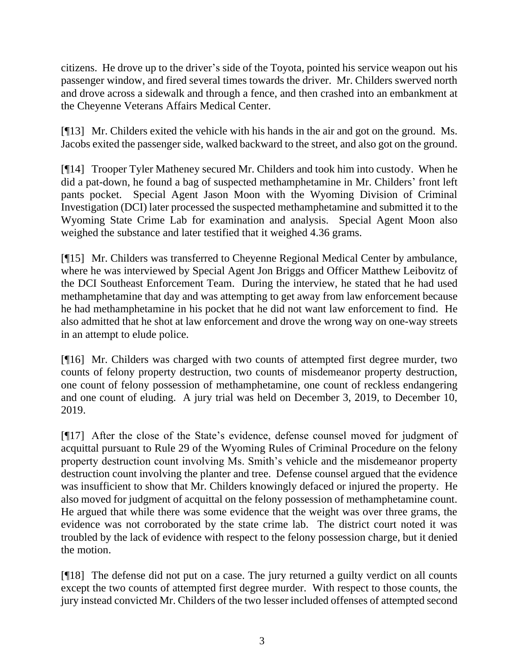citizens. He drove up to the driver's side of the Toyota, pointed his service weapon out his passenger window, and fired several times towards the driver. Mr. Childers swerved north and drove across a sidewalk and through a fence, and then crashed into an embankment at the Cheyenne Veterans Affairs Medical Center.

[¶13] Mr. Childers exited the vehicle with his hands in the air and got on the ground. Ms. Jacobs exited the passenger side, walked backward to the street, and also got on the ground.

[¶14] Trooper Tyler Matheney secured Mr. Childers and took him into custody. When he did a pat-down, he found a bag of suspected methamphetamine in Mr. Childers' front left pants pocket. Special Agent Jason Moon with the Wyoming Division of Criminal Investigation (DCI) later processed the suspected methamphetamine and submitted it to the Wyoming State Crime Lab for examination and analysis. Special Agent Moon also weighed the substance and later testified that it weighed 4.36 grams.

[¶15] Mr. Childers was transferred to Cheyenne Regional Medical Center by ambulance, where he was interviewed by Special Agent Jon Briggs and Officer Matthew Leibovitz of the DCI Southeast Enforcement Team. During the interview, he stated that he had used methamphetamine that day and was attempting to get away from law enforcement because he had methamphetamine in his pocket that he did not want law enforcement to find. He also admitted that he shot at law enforcement and drove the wrong way on one-way streets in an attempt to elude police.

[¶16] Mr. Childers was charged with two counts of attempted first degree murder, two counts of felony property destruction, two counts of misdemeanor property destruction, one count of felony possession of methamphetamine, one count of reckless endangering and one count of eluding. A jury trial was held on December 3, 2019, to December 10, 2019.

[¶17] After the close of the State's evidence, defense counsel moved for judgment of acquittal pursuant to Rule 29 of the Wyoming Rules of Criminal Procedure on the felony property destruction count involving Ms. Smith's vehicle and the misdemeanor property destruction count involving the planter and tree. Defense counsel argued that the evidence was insufficient to show that Mr. Childers knowingly defaced or injured the property. He also moved for judgment of acquittal on the felony possession of methamphetamine count. He argued that while there was some evidence that the weight was over three grams, the evidence was not corroborated by the state crime lab. The district court noted it was troubled by the lack of evidence with respect to the felony possession charge, but it denied the motion.

[¶18] The defense did not put on a case. The jury returned a guilty verdict on all counts except the two counts of attempted first degree murder. With respect to those counts, the jury instead convicted Mr. Childers of the two lesser included offenses of attempted second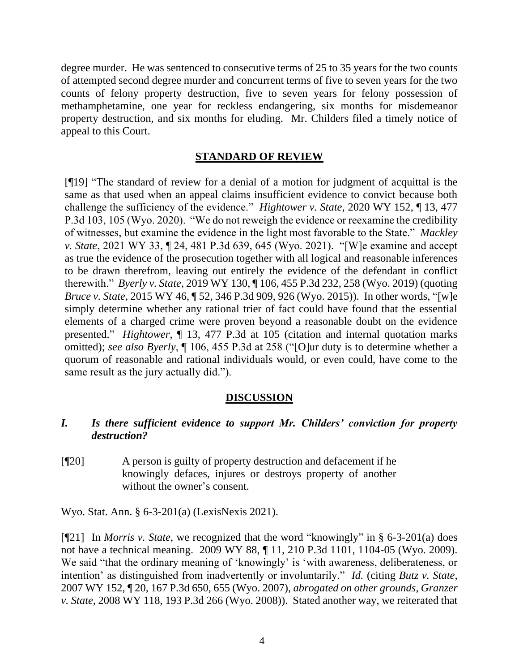degree murder. He was sentenced to consecutive terms of 25 to 35 years for the two counts of attempted second degree murder and concurrent terms of five to seven years for the two counts of felony property destruction, five to seven years for felony possession of methamphetamine, one year for reckless endangering, six months for misdemeanor property destruction, and six months for eluding. Mr. Childers filed a timely notice of appeal to this Court.

## **STANDARD OF REVIEW**

[¶19] "The standard of review for a denial of a motion for judgment of acquittal is the same as that used when an appeal claims insufficient evidence to convict because both challenge the sufficiency of the evidence." *Hightower v. State*, 2020 WY 152, ¶ 13, 477 P.3d 103, 105 (Wyo. 2020). "We do not reweigh the evidence or reexamine the credibility of witnesses, but examine the evidence in the light most favorable to the State." *Mackley v. State*, 2021 WY 33, ¶ 24, 481 P.3d 639, 645 (Wyo. 2021). "[W]e examine and accept as true the evidence of the prosecution together with all logical and reasonable inferences to be drawn therefrom, leaving out entirely the evidence of the defendant in conflict therewith." *Byerly v. State*, 2019 WY 130, ¶ 106, 455 P.3d 232, 258 (Wyo. 2019) (quoting *Bruce v. State*, 2015 WY 46, ¶ 52, 346 P.3d 909, 926 (Wyo. 2015)). In other words, "[w]e simply determine whether any rational trier of fact could have found that the essential elements of a charged crime were proven beyond a reasonable doubt on the evidence presented." *Hightower*, ¶ 13, 477 P.3d at 105 (citation and internal quotation marks omitted); *see also Byerly*, ¶ 106, 455 P.3d at 258 ("[O]ur duty is to determine whether a quorum of reasonable and rational individuals would, or even could, have come to the same result as the jury actually did.").

## **DISCUSSION**

## *I. Is there sufficient evidence to support Mr. Childers' conviction for property destruction?*

[¶20] A person is guilty of property destruction and defacement if he knowingly defaces, injures or destroys property of another without the owner's consent.

Wyo. Stat. Ann. § 6-3-201(a) (LexisNexis 2021).

[¶21] In *Morris v. State*, we recognized that the word "knowingly" in § 6-3-201(a) does not have a technical meaning. 2009 WY 88, ¶ 11, 210 P.3d 1101, 1104-05 (Wyo. 2009). We said "that the ordinary meaning of 'knowingly' is 'with awareness, deliberateness, or intention' as distinguished from inadvertently or involuntarily." *Id.* (citing *Butz v. State*, 2007 WY 152, ¶ 20, 167 P.3d 650, 655 (Wyo. 2007), *abrogated on other grounds*, *Granzer v. State*, 2008 WY 118, 193 P.3d 266 (Wyo. 2008)). Stated another way, we reiterated that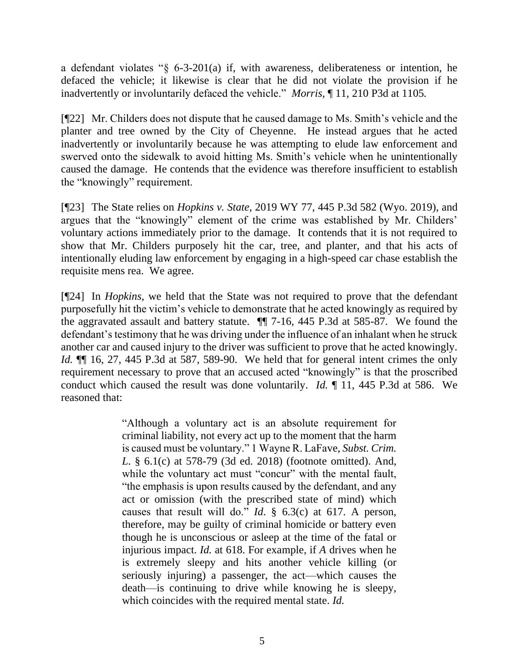a defendant violates "§ 6-3-201(a) if, with awareness, deliberateness or intention, he defaced the vehicle; it likewise is clear that he did not violate the provision if he inadvertently or involuntarily defaced the vehicle." *Morris*, ¶ 11, 210 P3d at 1105*.*

[¶22] Mr. Childers does not dispute that he caused damage to Ms. Smith's vehicle and the planter and tree owned by the City of Cheyenne. He instead argues that he acted inadvertently or involuntarily because he was attempting to elude law enforcement and swerved onto the sidewalk to avoid hitting Ms. Smith's vehicle when he unintentionally caused the damage. He contends that the evidence was therefore insufficient to establish the "knowingly" requirement.

[¶23] The State relies on *Hopkins v. State*, 2019 WY 77, 445 P.3d 582 (Wyo. 2019), and argues that the "knowingly" element of the crime was established by Mr. Childers' voluntary actions immediately prior to the damage. It contends that it is not required to show that Mr. Childers purposely hit the car, tree, and planter, and that his acts of intentionally eluding law enforcement by engaging in a high-speed car chase establish the requisite mens rea. We agree.

[¶24] In *Hopkins*, we held that the State was not required to prove that the defendant purposefully hit the victim's vehicle to demonstrate that he acted knowingly as required by the aggravated assault and battery statute. ¶¶ 7-16, 445 P.3d at 585-87. We found the defendant's testimony that he was driving under the influence of an inhalant when he struck another car and caused injury to the driver was sufficient to prove that he acted knowingly. *Id.*  $\P$  16, 27, 445 P.3d at 587, 589-90. We held that for general intent crimes the only requirement necessary to prove that an accused acted "knowingly" is that the proscribed conduct which caused the result was done voluntarily. *Id.* ¶ 11, 445 P.3d at 586. We reasoned that:

> "Although a voluntary act is an absolute requirement for criminal liability, not every act up to the moment that the harm is caused must be voluntary." 1 Wayne R. LaFave, *Subst. Crim. L*. § 6.1(c) at 578-79 (3d ed. 2018) (footnote omitted). And, while the voluntary act must "concur" with the mental fault, "the emphasis is upon results caused by the defendant, and any act or omission (with the prescribed state of mind) which causes that result will do." *Id*. § 6.3(c) at 617. A person, therefore, may be guilty of criminal homicide or battery even though he is unconscious or asleep at the time of the fatal or injurious impact. *Id.* at 618. For example, if *A* drives when he is extremely sleepy and hits another vehicle killing (or seriously injuring) a passenger, the act—which causes the death—is continuing to drive while knowing he is sleepy, which coincides with the required mental state. *Id.*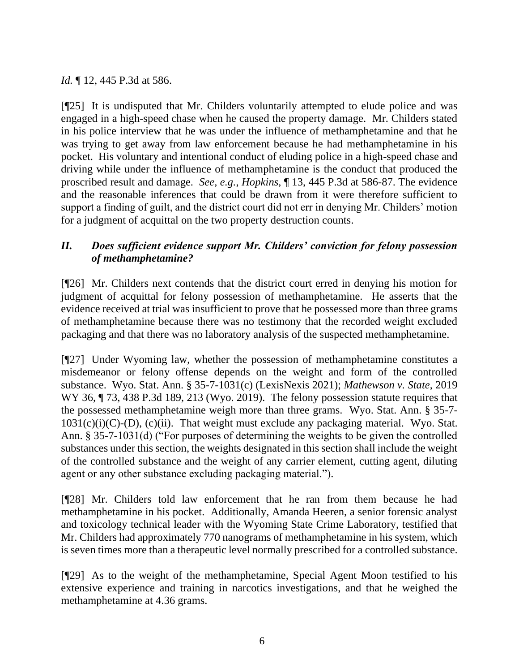# *Id.* 12, 445 P.3d at 586.

[¶25] It is undisputed that Mr. Childers voluntarily attempted to elude police and was engaged in a high-speed chase when he caused the property damage. Mr. Childers stated in his police interview that he was under the influence of methamphetamine and that he was trying to get away from law enforcement because he had methamphetamine in his pocket. His voluntary and intentional conduct of eluding police in a high-speed chase and driving while under the influence of methamphetamine is the conduct that produced the proscribed result and damage. *See, e.g.*, *Hopkins*, ¶ 13, 445 P.3d at 586-87. The evidence and the reasonable inferences that could be drawn from it were therefore sufficient to support a finding of guilt, and the district court did not err in denying Mr. Childers' motion for a judgment of acquittal on the two property destruction counts.

# *II. Does sufficient evidence support Mr. Childers' conviction for felony possession of methamphetamine?*

[¶26] Mr. Childers next contends that the district court erred in denying his motion for judgment of acquittal for felony possession of methamphetamine. He asserts that the evidence received at trial was insufficient to prove that he possessed more than three grams of methamphetamine because there was no testimony that the recorded weight excluded packaging and that there was no laboratory analysis of the suspected methamphetamine.

[¶27] Under Wyoming law, whether the possession of methamphetamine constitutes a misdemeanor or felony offense depends on the weight and form of the controlled substance. Wyo. Stat. Ann. § 35-7-1031(c) (LexisNexis 2021); *Mathewson v. State*, 2019 WY 36,  $\P$  73, 438 P.3d 189, 213 (Wyo. 2019). The felony possession statute requires that the possessed methamphetamine weigh more than three grams. Wyo. Stat. Ann. § 35-7-  $1031(c)(i)(C)$ -(D),  $(c)(ii)$ . That weight must exclude any packaging material. Wyo. Stat. Ann. § 35-7-1031(d) ("For purposes of determining the weights to be given the controlled substances under this section, the weights designated in this section shall include the weight of the controlled substance and the weight of any carrier element, cutting agent, diluting agent or any other substance excluding packaging material.").

[¶28] Mr. Childers told law enforcement that he ran from them because he had methamphetamine in his pocket. Additionally, Amanda Heeren, a senior forensic analyst and toxicology technical leader with the Wyoming State Crime Laboratory, testified that Mr. Childers had approximately 770 nanograms of methamphetamine in his system, which is seven times more than a therapeutic level normally prescribed for a controlled substance.

[¶29] As to the weight of the methamphetamine, Special Agent Moon testified to his extensive experience and training in narcotics investigations, and that he weighed the methamphetamine at 4.36 grams.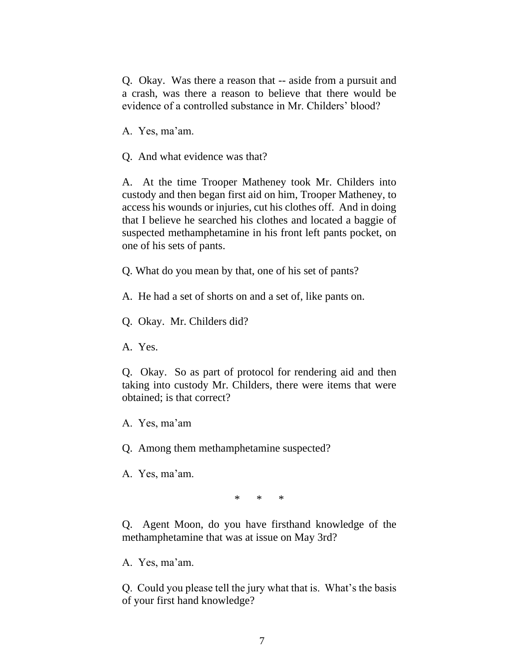Q. Okay. Was there a reason that -- aside from a pursuit and a crash, was there a reason to believe that there would be evidence of a controlled substance in Mr. Childers' blood?

A. Yes, ma'am.

Q. And what evidence was that?

A. At the time Trooper Matheney took Mr. Childers into custody and then began first aid on him, Trooper Matheney, to access his wounds or injuries, cut his clothes off. And in doing that I believe he searched his clothes and located a baggie of suspected methamphetamine in his front left pants pocket, on one of his sets of pants.

Q. What do you mean by that, one of his set of pants?

A. He had a set of shorts on and a set of, like pants on.

Q. Okay. Mr. Childers did?

A. Yes.

Q. Okay. So as part of protocol for rendering aid and then taking into custody Mr. Childers, there were items that were obtained; is that correct?

A. Yes, ma'am

Q. Among them methamphetamine suspected?

A. Yes, ma'am.

\* \* \*

Q. Agent Moon, do you have firsthand knowledge of the methamphetamine that was at issue on May 3rd?

A. Yes, ma'am.

Q. Could you please tell the jury what that is. What's the basis of your first hand knowledge?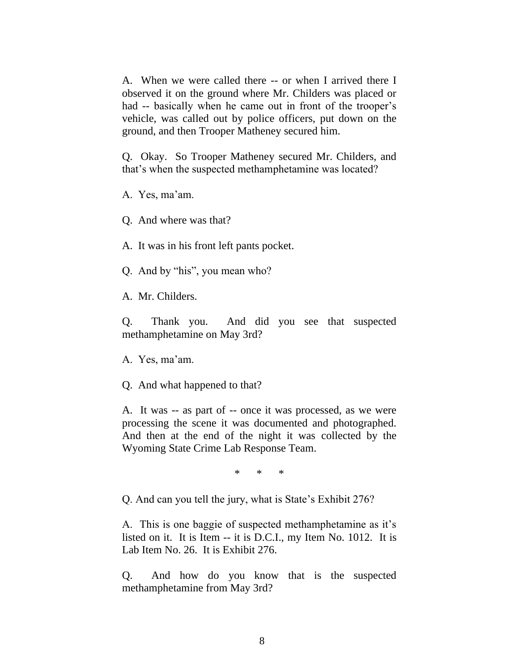A. When we were called there -- or when I arrived there I observed it on the ground where Mr. Childers was placed or had -- basically when he came out in front of the trooper's vehicle, was called out by police officers, put down on the ground, and then Trooper Matheney secured him.

Q. Okay. So Trooper Matheney secured Mr. Childers, and that's when the suspected methamphetamine was located?

A. Yes, ma'am.

Q. And where was that?

A. It was in his front left pants pocket.

Q. And by "his", you mean who?

A. Mr. Childers.

Q. Thank you. And did you see that suspected methamphetamine on May 3rd?

A. Yes, ma'am.

Q. And what happened to that?

A. It was -- as part of -- once it was processed, as we were processing the scene it was documented and photographed. And then at the end of the night it was collected by the Wyoming State Crime Lab Response Team.

\* \* \*

Q. And can you tell the jury, what is State's Exhibit 276?

A. This is one baggie of suspected methamphetamine as it's listed on it. It is Item -- it is D.C.I., my Item No. 1012. It is Lab Item No. 26. It is Exhibit 276.

Q. And how do you know that is the suspected methamphetamine from May 3rd?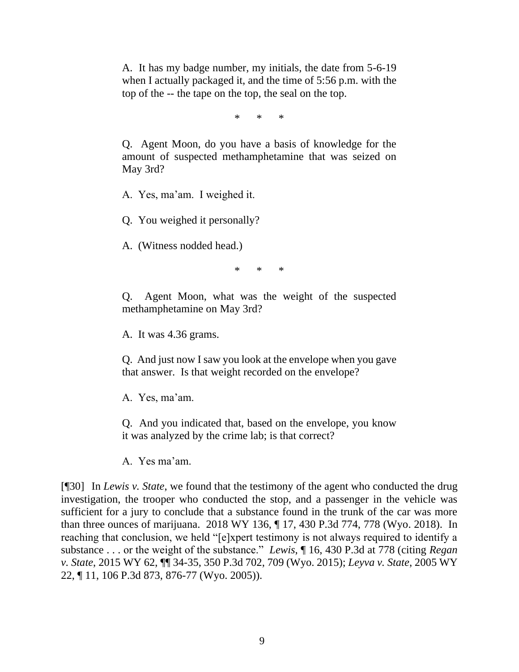A. It has my badge number, my initials, the date from 5-6-19 when I actually packaged it, and the time of 5:56 p.m. with the top of the -- the tape on the top, the seal on the top.

\* \* \*

Q. Agent Moon, do you have a basis of knowledge for the amount of suspected methamphetamine that was seized on May 3rd?

A. Yes, ma'am. I weighed it.

Q. You weighed it personally?

A. (Witness nodded head.)

\* \* \*

Q. Agent Moon, what was the weight of the suspected methamphetamine on May 3rd?

A. It was 4.36 grams.

Q. And just now I saw you look at the envelope when you gave that answer. Is that weight recorded on the envelope?

A. Yes, ma'am.

Q. And you indicated that, based on the envelope, you know it was analyzed by the crime lab; is that correct?

A. Yes ma'am.

[¶30] In *Lewis v. State*, we found that the testimony of the agent who conducted the drug investigation, the trooper who conducted the stop, and a passenger in the vehicle was sufficient for a jury to conclude that a substance found in the trunk of the car was more than three ounces of marijuana. 2018 WY 136, ¶ 17, 430 P.3d 774, 778 (Wyo. 2018). In reaching that conclusion, we held "[e]xpert testimony is not always required to identify a substance . . . or the weight of the substance." *Lewis*, ¶ 16, 430 P.3d at 778 (citing *Regan v. State*, 2015 WY 62, ¶¶ 34-35, 350 P.3d 702, 709 (Wyo. 2015); *Leyva v. State*, 2005 WY 22, ¶ 11, 106 P.3d 873, 876-77 (Wyo. 2005)).